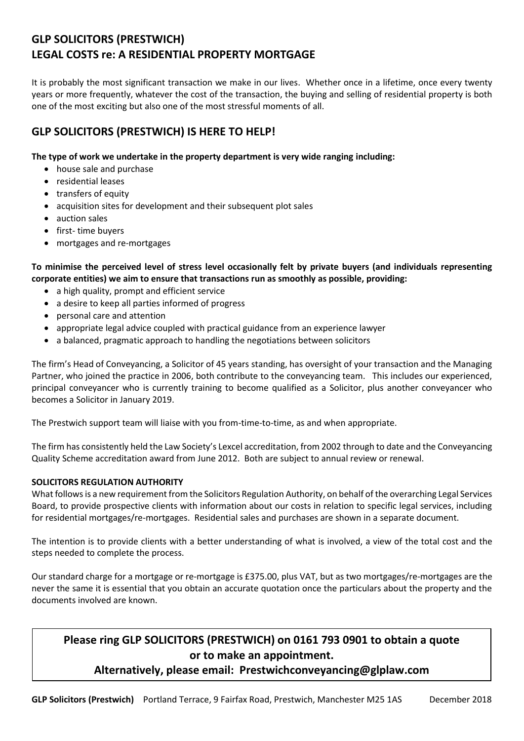# **GLP SOLICITORS (PRESTWICH) LEGAL COSTS re: A RESIDENTIAL PROPERTY MORTGAGE**

It is probably the most significant transaction we make in our lives. Whether once in a lifetime, once every twenty years or more frequently, whatever the cost of the transaction, the buying and selling of residential property is both one of the most exciting but also one of the most stressful moments of all.

## **GLP SOLICITORS (PRESTWICH) IS HERE TO HELP!**

## **The type of work we undertake in the property department is very wide ranging including:**

- house sale and purchase
- residential leases
- transfers of equity
- acquisition sites for development and their subsequent plot sales
- auction sales
- first- time buyers
- mortgages and re-mortgages

**To minimise the perceived level of stress level occasionally felt by private buyers (and individuals representing corporate entities) we aim to ensure that transactions run as smoothly as possible, providing:**

- a high quality, prompt and efficient service
- a desire to keep all parties informed of progress
- personal care and attention
- appropriate legal advice coupled with practical guidance from an experience lawyer
- a balanced, pragmatic approach to handling the negotiations between solicitors

The firm's Head of Conveyancing, a Solicitor of 45 years standing, has oversight of your transaction and the Managing Partner, who joined the practice in 2006, both contribute to the conveyancing team. This includes our experienced, principal conveyancer who is currently training to become qualified as a Solicitor, plus another conveyancer who becomes a Solicitor in January 2019.

The Prestwich support team will liaise with you from-time-to-time, as and when appropriate.

The firm has consistently held the Law Society's Lexcel accreditation, from 2002 through to date and the Conveyancing Quality Scheme accreditation award from June 2012. Both are subject to annual review or renewal.

## **SOLICITORS REGULATION AUTHORITY**

What follows is a new requirement from the Solicitors Regulation Authority, on behalf of the overarching Legal Services Board, to provide prospective clients with information about our costs in relation to specific legal services, including for residential mortgages/re-mortgages. Residential sales and purchases are shown in a separate document.

The intention is to provide clients with a better understanding of what is involved, a view of the total cost and the steps needed to complete the process.

Our standard charge for a mortgage or re-mortgage is £375.00, plus VAT, but as two mortgages/re-mortgages are the never the same it is essential that you obtain an accurate quotation once the particulars about the property and the documents involved are known.

## **Please ring GLP SOLICITORS (PRESTWICH) on 0161 793 0901 to obtain a quote or to make an appointment.**

## **Alternatively, please email: Prestwichconveyancing@glplaw.com**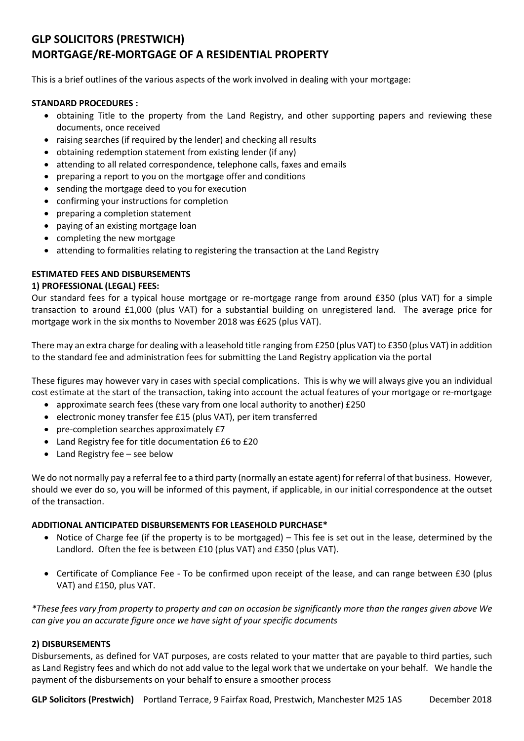## **GLP SOLICITORS (PRESTWICH) MORTGAGE/RE-MORTGAGE OF A RESIDENTIAL PROPERTY**

This is a brief outlines of the various aspects of the work involved in dealing with your mortgage:

#### **STANDARD PROCEDURES :**

- obtaining Title to the property from the Land Registry, and other supporting papers and reviewing these documents, once received
- raising searches (if required by the lender) and checking all results
- obtaining redemption statement from existing lender (if any)
- attending to all related correspondence, telephone calls, faxes and emails
- preparing a report to you on the mortgage offer and conditions
- sending the mortgage deed to you for execution
- confirming your instructions for completion
- preparing a completion statement
- paying of an existing mortgage loan
- completing the new mortgage
- attending to formalities relating to registering the transaction at the Land Registry

## **ESTIMATED FEES AND DISBURSEMENTS**

### **1) PROFESSIONAL (LEGAL) FEES:**

Our standard fees for a typical house mortgage or re-mortgage range from around £350 (plus VAT) for a simple transaction to around £1,000 (plus VAT) for a substantial building on unregistered land. The average price for mortgage work in the six months to November 2018 was £625 (plus VAT).

There may an extra charge for dealing with a leasehold title ranging from £250 (plus VAT) to £350 (plus VAT) in addition to the standard fee and administration fees for submitting the Land Registry application via the portal

These figures may however vary in cases with special complications. This is why we will always give you an individual cost estimate at the start of the transaction, taking into account the actual features of your mortgage or re-mortgage

- approximate search fees (these vary from one local authority to another) £250
- electronic money transfer fee £15 (plus VAT), per item transferred
- pre-completion searches approximately £7
- Land Registry fee for title documentation £6 to £20
- Land Registry fee see below

We do not normally pay a referral fee to a third party (normally an estate agent) for referral of that business. However, should we ever do so, you will be informed of this payment, if applicable, in our initial correspondence at the outset of the transaction.

## **ADDITIONAL ANTICIPATED DISBURSEMENTS FOR LEASEHOLD PURCHASE\***

- Notice of Charge fee (if the property is to be mortgaged) This fee is set out in the lease, determined by the Landlord. Often the fee is between £10 (plus VAT) and £350 (plus VAT).
- Certificate of Compliance Fee To be confirmed upon receipt of the lease, and can range between £30 (plus VAT) and £150, plus VAT.

*\*These fees vary from property to property and can on occasion be significantly more than the ranges given above We can give you an accurate figure once we have sight of your specific documents*

#### **2) DISBURSEMENTS**

Disbursements, as defined for VAT purposes, are costs related to your matter that are payable to third parties, such as Land Registry fees and which do not add value to the legal work that we undertake on your behalf. We handle the payment of the disbursements on your behalf to ensure a smoother process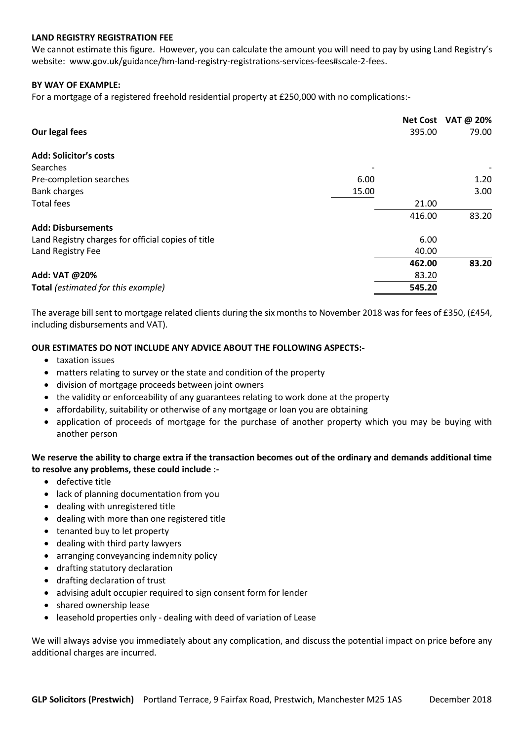#### **LAND REGISTRY REGISTRATION FEE**

We cannot estimate this figure. However, you can calculate the amount you will need to pay by using Land Registry's website: www.gov.uk/guidance/hm-land-registry-registrations-services-fees#scale-2-fees.

#### **BY WAY OF EXAMPLE:**

For a mortgage of a registered freehold residential property at £250,000 with no complications:-

|                                                    |       |        | Net Cost VAT @ 20% |
|----------------------------------------------------|-------|--------|--------------------|
| Our legal fees                                     |       | 395.00 | 79.00              |
| Add: Solicitor's costs                             |       |        |                    |
| Searches                                           |       |        |                    |
| Pre-completion searches                            | 6.00  |        | 1.20               |
| <b>Bank charges</b>                                | 15.00 |        | 3.00               |
| <b>Total fees</b>                                  |       | 21.00  |                    |
|                                                    |       | 416.00 | 83.20              |
| <b>Add: Disbursements</b>                          |       |        |                    |
| Land Registry charges for official copies of title |       | 6.00   |                    |
| Land Registry Fee                                  |       | 40.00  |                    |
|                                                    |       | 462.00 | 83.20              |
| Add: VAT @20%                                      |       | 83.20  |                    |
| Total (estimated for this example)                 |       | 545.20 |                    |
|                                                    |       |        |                    |

The average bill sent to mortgage related clients during the six months to November 2018 was for fees of £350, (£454, including disbursements and VAT).

#### **OUR ESTIMATES DO NOT INCLUDE ANY ADVICE ABOUT THE FOLLOWING ASPECTS:-**

- taxation issues
- matters relating to survey or the state and condition of the property
- division of mortgage proceeds between joint owners
- the validity or enforceability of any guarantees relating to work done at the property
- affordability, suitability or otherwise of any mortgage or loan you are obtaining
- application of proceeds of mortgage for the purchase of another property which you may be buying with another person

### **We reserve the ability to charge extra if the transaction becomes out of the ordinary and demands additional time to resolve any problems, these could include :-**

- defective title
- lack of planning documentation from you
- dealing with unregistered title
- dealing with more than one registered title
- tenanted buy to let property
- dealing with third party lawyers
- arranging conveyancing indemnity policy
- drafting statutory declaration
- drafting declaration of trust
- advising adult occupier required to sign consent form for lender
- shared ownership lease
- leasehold properties only dealing with deed of variation of Lease

We will always advise you immediately about any complication, and discuss the potential impact on price before any additional charges are incurred.